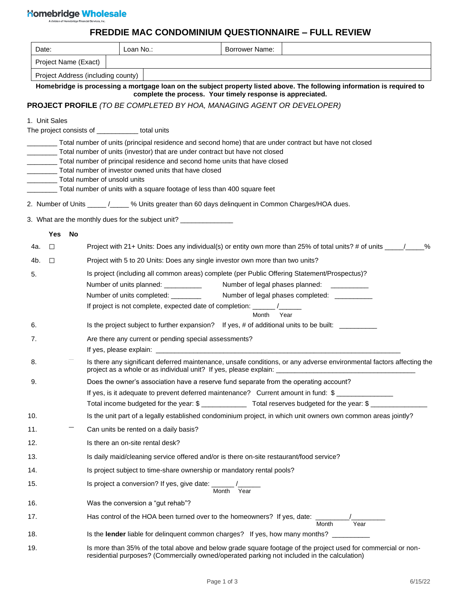# 

# **FREDDIE MAC CONDOMINIUM QUESTIONNAIRE – FULL REVIEW**

| Date: |                      |                                                                                       | Loan No.:                                        |  | <b>Borrower Name:</b>                                                                                                                                                                                                       |                                               |      |       |      |  |
|-------|----------------------|---------------------------------------------------------------------------------------|--------------------------------------------------|--|-----------------------------------------------------------------------------------------------------------------------------------------------------------------------------------------------------------------------------|-----------------------------------------------|------|-------|------|--|
|       | Project Name (Exact) |                                                                                       |                                                  |  |                                                                                                                                                                                                                             |                                               |      |       |      |  |
|       |                      |                                                                                       | Project Address (including county)               |  |                                                                                                                                                                                                                             |                                               |      |       |      |  |
|       |                      |                                                                                       |                                                  |  | Homebridge is processing a mortgage loan on the subject property listed above. The following information is required to                                                                                                     |                                               |      |       |      |  |
|       |                      |                                                                                       |                                                  |  | complete the process. Your timely response is appreciated.<br><b>PROJECT PROFILE (TO BE COMPLETED BY HOA, MANAGING AGENT OR DEVELOPER)</b>                                                                                  |                                               |      |       |      |  |
|       | 1. Unit Sales        |                                                                                       |                                                  |  |                                                                                                                                                                                                                             |                                               |      |       |      |  |
|       |                      |                                                                                       | The project consists of ____________ total units |  |                                                                                                                                                                                                                             |                                               |      |       |      |  |
|       |                      |                                                                                       |                                                  |  | Total number of units (principal residence and second home) that are under contract but have not closed                                                                                                                     |                                               |      |       |      |  |
|       |                      |                                                                                       |                                                  |  | Total number of units (investor) that are under contract but have not closed                                                                                                                                                |                                               |      |       |      |  |
|       |                      |                                                                                       |                                                  |  | Total number of principal residence and second home units that have closed<br>Total number of investor owned units that have closed                                                                                         |                                               |      |       |      |  |
|       |                      |                                                                                       | Total number of unsold units                     |  |                                                                                                                                                                                                                             |                                               |      |       |      |  |
|       |                      |                                                                                       |                                                  |  | Total number of units with a square footage of less than 400 square feet                                                                                                                                                    |                                               |      |       |      |  |
|       |                      |                                                                                       |                                                  |  | 2. Number of Units _____ /_____ % Units greater than 60 days delinquent in Common Charges/HOA dues.                                                                                                                         |                                               |      |       |      |  |
|       |                      |                                                                                       |                                                  |  | 3. What are the monthly dues for the subject unit? ________________                                                                                                                                                         |                                               |      |       |      |  |
|       | <b>Yes</b>           | No                                                                                    |                                                  |  |                                                                                                                                                                                                                             |                                               |      |       |      |  |
| 4a.   | $\Box$               |                                                                                       |                                                  |  | Project with 21+ Units: Does any individual(s) or entity own more than 25% of total units? # of units _____/____%                                                                                                           |                                               |      |       |      |  |
| 4b.   | $\Box$               |                                                                                       |                                                  |  | Project with 5 to 20 Units: Does any single investor own more than two units?                                                                                                                                               |                                               |      |       |      |  |
| 5.    |                      |                                                                                       |                                                  |  | Is project (including all common areas) complete (per Public Offering Statement/Prospectus)?                                                                                                                                |                                               |      |       |      |  |
|       |                      |                                                                                       |                                                  |  | Number of units planned: ___________                                                                                                                                                                                        | Number of legal phases planned: ___________   |      |       |      |  |
|       |                      |                                                                                       |                                                  |  | Number of units completed: ________                                                                                                                                                                                         | Number of legal phases completed: ___________ |      |       |      |  |
|       |                      |                                                                                       |                                                  |  | If project is not complete, expected date of completion: ______ /______                                                                                                                                                     | Month                                         | Year |       |      |  |
| 6.    |                      |                                                                                       |                                                  |  | Is the project subject to further expansion? If yes, # of additional units to be built: _________                                                                                                                           |                                               |      |       |      |  |
| 7.    |                      |                                                                                       |                                                  |  | Are there any current or pending special assessments?                                                                                                                                                                       |                                               |      |       |      |  |
|       |                      |                                                                                       |                                                  |  |                                                                                                                                                                                                                             |                                               |      |       |      |  |
| 8.    |                      |                                                                                       |                                                  |  | Is there any significant deferred maintenance, unsafe conditions, or any adverse environmental factors affecting the<br>project as a whole or as individual unit? If yes, please explain: _________________________________ |                                               |      |       |      |  |
| 9.    |                      | Does the owner's association have a reserve fund separate from the operating account? |                                                  |  |                                                                                                                                                                                                                             |                                               |      |       |      |  |
|       |                      |                                                                                       |                                                  |  | If yes, is it adequate to prevent deferred maintenance? Current amount in fund: \$                                                                                                                                          |                                               |      |       |      |  |
| 10.   |                      |                                                                                       |                                                  |  | Is the unit part of a legally established condominium project, in which unit owners own common areas jointly?                                                                                                               |                                               |      |       |      |  |
| 11.   |                      |                                                                                       |                                                  |  | Can units be rented on a daily basis?                                                                                                                                                                                       |                                               |      |       |      |  |
| 12.   |                      |                                                                                       |                                                  |  | Is there an on-site rental desk?                                                                                                                                                                                            |                                               |      |       |      |  |
| 13.   |                      |                                                                                       |                                                  |  | Is daily maid/cleaning service offered and/or is there on-site restaurant/food service?                                                                                                                                     |                                               |      |       |      |  |
| 14.   |                      |                                                                                       |                                                  |  | Is project subject to time-share ownership or mandatory rental pools?                                                                                                                                                       |                                               |      |       |      |  |
| 15.   |                      |                                                                                       |                                                  |  | Is project a conversion? If yes, give date: $\frac{1}{\sqrt{2\pi}}$                                                                                                                                                         |                                               |      |       |      |  |
|       |                      |                                                                                       |                                                  |  |                                                                                                                                                                                                                             |                                               |      |       |      |  |
| 16.   |                      |                                                                                       |                                                  |  | Was the conversion a "gut rehab"?                                                                                                                                                                                           |                                               |      |       |      |  |
| 17.   |                      |                                                                                       |                                                  |  | Has control of the HOA been turned over to the homeowners? If yes, date: ______                                                                                                                                             |                                               |      | Month | Year |  |
| 18.   |                      |                                                                                       |                                                  |  | Is the lender liable for delinquent common charges? If yes, how many months?                                                                                                                                                |                                               |      |       |      |  |
| 19.   |                      |                                                                                       |                                                  |  | Is more than 35% of the total above and below grade square footage of the project used for commercial or non-<br>residential purposes? (Commercially owned/operated parking not included in the calculation)                |                                               |      |       |      |  |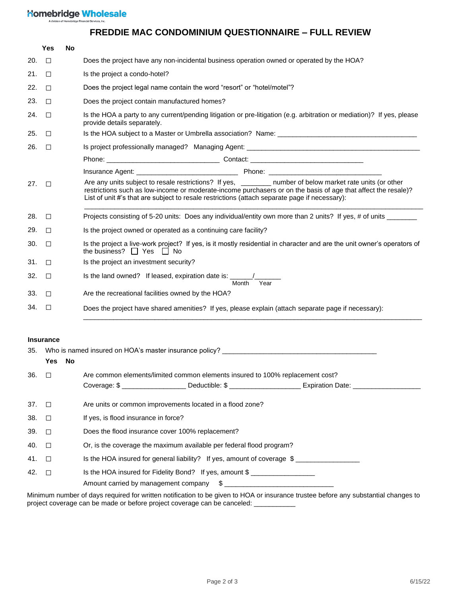### **Nomebridge Wholesale**

## **FREDDIE MAC CONDOMINIUM QUESTIONNAIRE – FULL REVIEW**

|     | Yes              | No                                                                                                                                                                                                                                                                                                                         |                                                                                                                                                                                                   |  |  |  |  |  |  |
|-----|------------------|----------------------------------------------------------------------------------------------------------------------------------------------------------------------------------------------------------------------------------------------------------------------------------------------------------------------------|---------------------------------------------------------------------------------------------------------------------------------------------------------------------------------------------------|--|--|--|--|--|--|
| 20. | $\Box$           |                                                                                                                                                                                                                                                                                                                            | Does the project have any non-incidental business operation owned or operated by the HOA?                                                                                                         |  |  |  |  |  |  |
| 21. | $\Box$           |                                                                                                                                                                                                                                                                                                                            | Is the project a condo-hotel?                                                                                                                                                                     |  |  |  |  |  |  |
| 22. | $\Box$           |                                                                                                                                                                                                                                                                                                                            | Does the project legal name contain the word "resort" or "hotel/motel"?                                                                                                                           |  |  |  |  |  |  |
| 23. | □                |                                                                                                                                                                                                                                                                                                                            | Does the project contain manufactured homes?                                                                                                                                                      |  |  |  |  |  |  |
| 24. | $\Box$           |                                                                                                                                                                                                                                                                                                                            | Is the HOA a party to any current/pending litigation or pre-litigation (e.g. arbitration or mediation)? If yes, please<br>provide details separately.                                             |  |  |  |  |  |  |
| 25. | $\Box$           |                                                                                                                                                                                                                                                                                                                            |                                                                                                                                                                                                   |  |  |  |  |  |  |
| 26. | $\Box$           |                                                                                                                                                                                                                                                                                                                            |                                                                                                                                                                                                   |  |  |  |  |  |  |
|     |                  |                                                                                                                                                                                                                                                                                                                            |                                                                                                                                                                                                   |  |  |  |  |  |  |
|     |                  |                                                                                                                                                                                                                                                                                                                            |                                                                                                                                                                                                   |  |  |  |  |  |  |
| 27. | $\Box$           | Are any units subject to resale restrictions? If yes, ______ number of below market rate units (or other<br>restrictions such as low-income or moderate-income purchasers or on the basis of age that affect the resale)?<br>List of unit #'s that are subject to resale restrictions (attach separate page if necessary): |                                                                                                                                                                                                   |  |  |  |  |  |  |
| 28. | $\Box$           |                                                                                                                                                                                                                                                                                                                            | Projects consisting of 5-20 units: Does any individual/entity own more than 2 units? If yes, # of units ______                                                                                    |  |  |  |  |  |  |
| 29. | $\Box$           |                                                                                                                                                                                                                                                                                                                            | Is the project owned or operated as a continuing care facility?                                                                                                                                   |  |  |  |  |  |  |
| 30. | $\Box$           |                                                                                                                                                                                                                                                                                                                            | Is the project a live-work project? If yes, is it mostly residential in character and are the unit owner's operators of<br>the business? $\Box$ Yes $\Box$ No                                     |  |  |  |  |  |  |
| 31. | □                |                                                                                                                                                                                                                                                                                                                            | Is the project an investment security?                                                                                                                                                            |  |  |  |  |  |  |
| 32. | $\Box$           |                                                                                                                                                                                                                                                                                                                            | Is the land owned? If leased, expiration date is: ______________________________<br>Month Year                                                                                                    |  |  |  |  |  |  |
| 33. | $\Box$           |                                                                                                                                                                                                                                                                                                                            | Are the recreational facilities owned by the HOA?                                                                                                                                                 |  |  |  |  |  |  |
| 34. | $\Box$           |                                                                                                                                                                                                                                                                                                                            | Does the project have shared amenities? If yes, please explain (attach separate page if necessary):                                                                                               |  |  |  |  |  |  |
| 35. | <b>Insurance</b> |                                                                                                                                                                                                                                                                                                                            | Who is named insured on HOA's master insurance policy? __________________________                                                                                                                 |  |  |  |  |  |  |
|     | <b>Yes</b>       | No                                                                                                                                                                                                                                                                                                                         |                                                                                                                                                                                                   |  |  |  |  |  |  |
|     | 36. $\Box$       |                                                                                                                                                                                                                                                                                                                            | Are common elements/limited common elements insured to 100% replacement cost?<br>Coverage: \$ ______________________Deductible: \$ __________________________Expiration Date: ___________________ |  |  |  |  |  |  |
| 37. | $\Box$           |                                                                                                                                                                                                                                                                                                                            | Are units or common improvements located in a flood zone?                                                                                                                                         |  |  |  |  |  |  |
| 38. | $\Box$           |                                                                                                                                                                                                                                                                                                                            | If yes, is flood insurance in force?                                                                                                                                                              |  |  |  |  |  |  |
| 39. | $\Box$           |                                                                                                                                                                                                                                                                                                                            | Does the flood insurance cover 100% replacement?                                                                                                                                                  |  |  |  |  |  |  |
| 40. | $\Box$           |                                                                                                                                                                                                                                                                                                                            | Or, is the coverage the maximum available per federal flood program?                                                                                                                              |  |  |  |  |  |  |

41. □ Is the HOA insured for general liability? If yes, amount of coverage \$ 42. □ Is the HOA insured for Fidelity Bond? If yes, amount \$ \_\_\_\_\_\_\_\_\_\_\_\_\_\_\_\_\_\_ Amount carried by management company \$

Minimum number of days required for written notification to be given to HOA or insurance trustee before any substantial changes to project coverage can be made or before project coverage can be canceled: \_\_\_\_\_\_\_\_